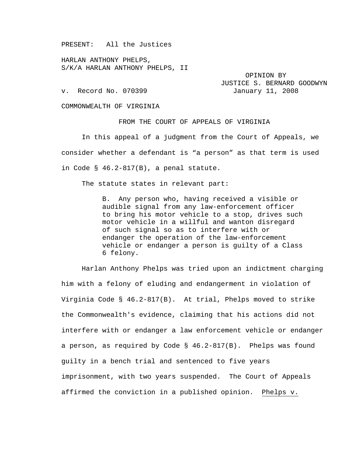PRESENT: All the Justices

HARLAN ANTHONY PHELPS, S/K/A HARLAN ANTHONY PHELPS, II

 OPINION BY JUSTICE S. BERNARD GOODWYN v. Record No. 070399 January 11, 2008

COMMONWEALTH OF VIRGINIA

FROM THE COURT OF APPEALS OF VIRGINIA

 In this appeal of a judgment from the Court of Appeals, we consider whether a defendant is "a person" as that term is used in Code § 46.2-817(B), a penal statute.

The statute states in relevant part:

B. Any person who, having received a visible or audible signal from any law-enforcement officer to bring his motor vehicle to a stop, drives such motor vehicle in a willful and wanton disregard of such signal so as to interfere with or endanger the operation of the law-enforcement vehicle or endanger a person is guilty of a Class 6 felony.

 Harlan Anthony Phelps was tried upon an indictment charging him with a felony of eluding and endangerment in violation of Virginia Code § 46.2-817(B). At trial, Phelps moved to strike the Commonwealth's evidence, claiming that his actions did not interfere with or endanger a law enforcement vehicle or endanger a person, as required by Code § 46.2-817(B). Phelps was found guilty in a bench trial and sentenced to five years imprisonment, with two years suspended. The Court of Appeals affirmed the conviction in a published opinion. Phelps v.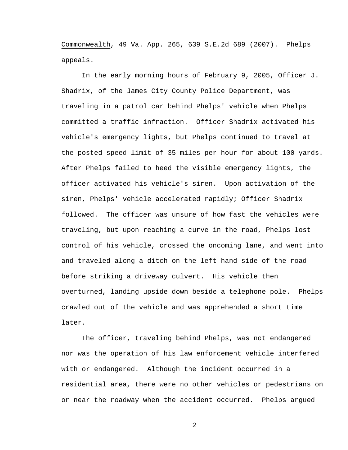Commonwealth, 49 Va. App. 265, 639 S.E.2d 689 (2007). Phelps appeals.

 In the early morning hours of February 9, 2005, Officer J. Shadrix, of the James City County Police Department, was traveling in a patrol car behind Phelps' vehicle when Phelps committed a traffic infraction. Officer Shadrix activated his vehicle's emergency lights, but Phelps continued to travel at the posted speed limit of 35 miles per hour for about 100 yards. After Phelps failed to heed the visible emergency lights, the officer activated his vehicle's siren. Upon activation of the siren, Phelps' vehicle accelerated rapidly; Officer Shadrix followed. The officer was unsure of how fast the vehicles were traveling, but upon reaching a curve in the road, Phelps lost control of his vehicle, crossed the oncoming lane, and went into and traveled along a ditch on the left hand side of the road before striking a driveway culvert. His vehicle then overturned, landing upside down beside a telephone pole. Phelps crawled out of the vehicle and was apprehended a short time later.

The officer, traveling behind Phelps, was not endangered nor was the operation of his law enforcement vehicle interfered with or endangered. Although the incident occurred in a residential area, there were no other vehicles or pedestrians on or near the roadway when the accident occurred. Phelps argued

2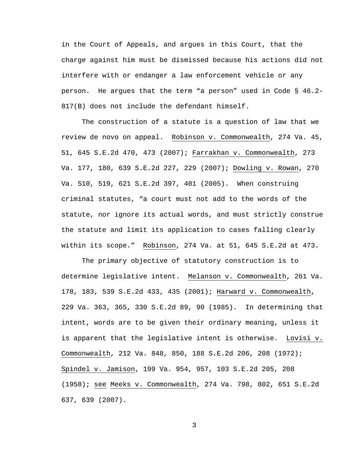in the Court of Appeals, and argues in this Court, that the charge against him must be dismissed because his actions did not interfere with or endanger a law enforcement vehicle or any person. He argues that the term "a person" used in Code § 46.2- 817(B) does not include the defendant himself.

 The construction of a statute is a question of law that we review de novo on appeal. Robinson v. Commonwealth, 274 Va. 45, 51, 645 S.E.2d 470, 473 (2007); Farrakhan v. Commonwealth, 273 Va. 177, 180, 639 S.E.2d 227, 229 (2007); Dowling v. Rowan, 270 Va. 510, 519, 621 S.E.2d 397, 401 (2005). When construing criminal statutes, "a court must not add to the words of the statute, nor ignore its actual words, and must strictly construe the statute and limit its application to cases falling clearly within its scope." Robinson, 274 Va. at 51, 645 S.E.2d at 473.

 The primary objective of statutory construction is to determine legislative intent. Melanson v. Commonwealth, 261 Va. 178, 183, 539 S.E.2d 433, 435 (2001); Harward v. Commonwealth, 229 Va. 363, 365, 330 S.E.2d 89, 90 (1985). In determining that intent, words are to be given their ordinary meaning, unless it is apparent that the legislative intent is otherwise. Lovisi v. Commonwealth, 212 Va. 848, 850, 188 S.E.2d 206, 208 (1972); Spindel v. Jamison, 199 Va. 954, 957, 103 S.E.2d 205, 208 (1958); see Meeks v. Commonwealth, 274 Va. 798, 802, 651 S.E.2d 637, 639 (2007).

3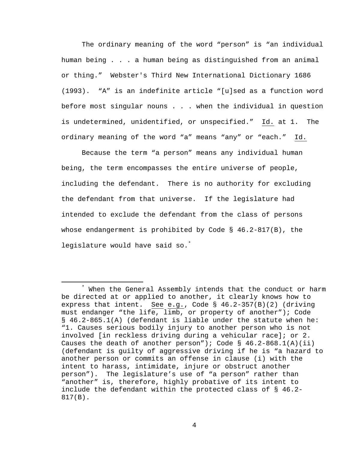The ordinary meaning of the word "person" is "an individual human being . . . a human being as distinguished from an animal or thing." Webster's Third New International Dictionary 1686 (1993). "A" is an indefinite article "[u]sed as a function word before most singular nouns . . . when the individual in question is undetermined, unidentified, or unspecified." Id. at 1. The ordinary meaning of the word "a" means "any" or "each." Id.

Because the term "a person" means any individual human being, the term encompasses the entire universe of people, including the defendant. There is no authority for excluding the defendant from that universe. If the legislature had intended to exclude the defendant from the class of persons whose endangerment is prohibited by Code § 46.2-817(B), the legislature would have said so.<sup>\*</sup>

 $\ddot{x}$ \* When the General Assembly intends that the conduct or harm be directed at or applied to another, it clearly knows how to express that intent. See e.g., Code § 46.2-357(B)(2) (driving must endanger "the life, limb, or property of another"); Code § 46.2-865.1(A) (defendant is liable under the statute when he: "1. Causes serious bodily injury to another person who is not involved [in reckless driving during a vehicular race]; or 2. Causes the death of another person"); Code  $\S$  46.2-868.1(A)(ii) (defendant is guilty of aggressive driving if he is "a hazard to another person or commits an offense in clause (i) with the intent to harass, intimidate, injure or obstruct another person"). The legislature's use of "a person" rather than "another" is, therefore, highly probative of its intent to include the defendant within the protected class of § 46.2- 817(B).